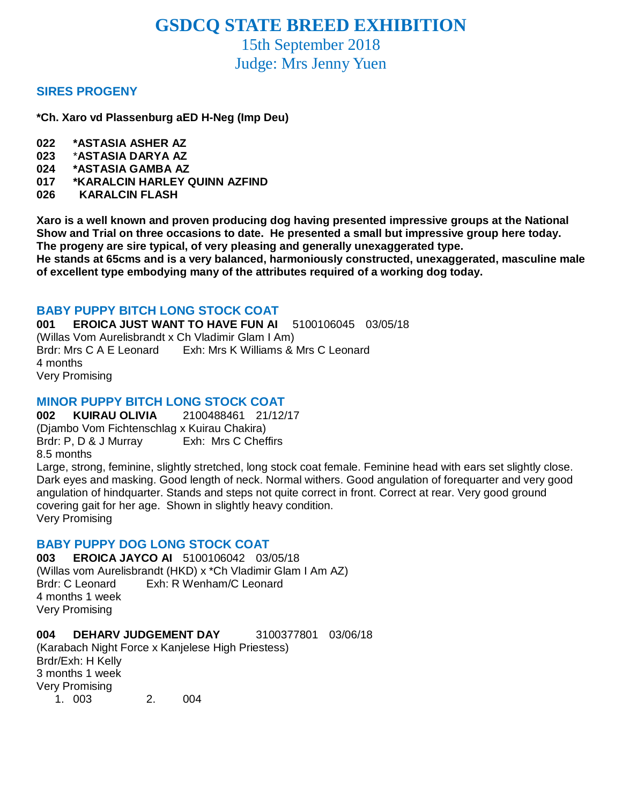# **GSDCQ STATE BREED EXHIBITION**

15th September 2018 Judge: Mrs Jenny Yuen

### **SIRES PROGENY**

**\*Ch. Xaro vd Plassenburg aED H-Neg (Imp Deu)**

- **022 \*ASTASIA ASHER AZ**
- **023** \***ASTASIA DARYA AZ**
- **024 \*ASTASIA GAMBA AZ**
- **017 \*KARALCIN HARLEY QUINN AZFIND**
- **026 KARALCIN FLASH**

**Xaro is a well known and proven producing dog having presented impressive groups at the National Show and Trial on three occasions to date. He presented a small but impressive group here today. The progeny are sire typical, of very pleasing and generally unexaggerated type.**

**He stands at 65cms and is a very balanced, harmoniously constructed, unexaggerated, masculine male of excellent type embodying many of the attributes required of a working dog today.**

### **BABY PUPPY BITCH LONG STOCK COAT**

**001 EROICA JUST WANT TO HAVE FUN AI** 5100106045 03/05/18 (Willas Vom Aurelisbrandt x Ch Vladimir Glam I Am) Brdr: Mrs C A E Leonard Exh: Mrs K Williams & Mrs C Leonard 4 months Very Promising

### **MINOR PUPPY BITCH LONG STOCK COAT**

**002 KUIRAU OLIVIA** 2100488461 21/12/17 (Djambo Vom Fichtenschlag x Kuirau Chakira) Brdr: P, D & J Murray Exh: Mrs C Cheffirs 8.5 months

Large, strong, feminine, slightly stretched, long stock coat female. Feminine head with ears set slightly close. Dark eyes and masking. Good length of neck. Normal withers. Good angulation of forequarter and very good angulation of hindquarter. Stands and steps not quite correct in front. Correct at rear. Very good ground covering gait for her age. Shown in slightly heavy condition. Very Promising

# **BABY PUPPY DOG LONG STOCK COAT**

**003 EROICA JAYCO AI** 5100106042 03/05/18 (Willas vom Aurelisbrandt (HKD) x \*Ch Vladimir Glam I Am AZ) Brdr: C Leonard Exh: R Wenham/C Leonard 4 months 1 week Very Promising

#### **004 DEHARV JUDGEMENT DAY** 3100377801 03/06/18

(Karabach Night Force x Kanjelese High Priestess) Brdr/Exh: H Kelly 3 months 1 week Very Promising 1. 003 2. 004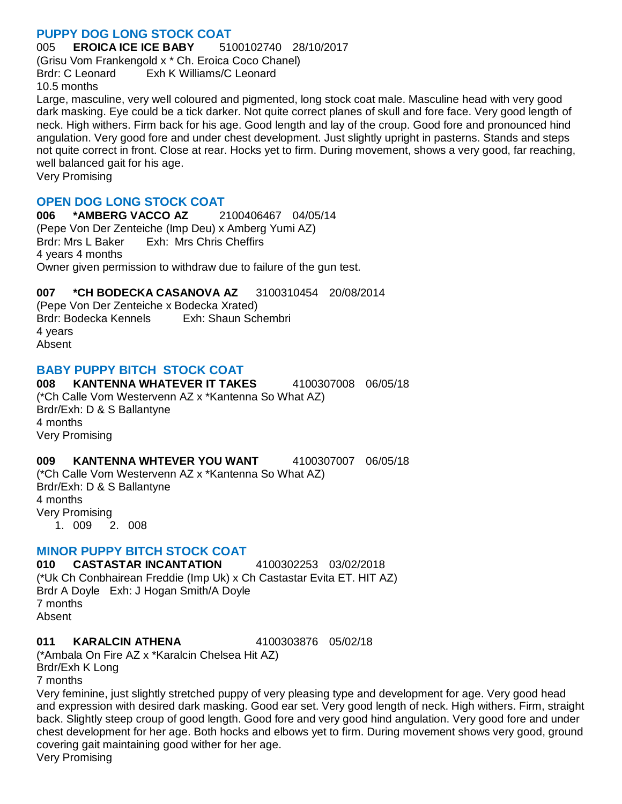# **PUPPY DOG LONG STOCK COAT**

005 **EROICA ICE ICE BABY** 5100102740 28/10/2017

(Grisu Vom Frankengold x \* Ch. Eroica Coco Chanel) Brdr: C Leonard Exh K Williams/C Leonard 10.5 months

Large, masculine, very well coloured and pigmented, long stock coat male. Masculine head with very good dark masking. Eye could be a tick darker. Not quite correct planes of skull and fore face. Very good length of neck. High withers. Firm back for his age. Good length and lay of the croup. Good fore and pronounced hind angulation. Very good fore and under chest development. Just slightly upright in pasterns. Stands and steps not quite correct in front. Close at rear. Hocks yet to firm. During movement, shows a very good, far reaching, well balanced gait for his age.

Very Promising

### **OPEN DOG LONG STOCK COAT**

**006 \*AMBERG VACCO AZ** 2100406467 04/05/14 (Pepe Von Der Zenteiche (Imp Deu) x Amberg Yumi AZ) Brdr: Mrs L Baker Exh: Mrs Chris Cheffirs 4 years 4 months Owner given permission to withdraw due to failure of the gun test.

# **007 \*CH BODECKA CASANOVA AZ** 3100310454 20/08/2014

(Pepe Von Der Zenteiche x Bodecka Xrated) Brdr: Bodecka Kennels Exh: Shaun Schembri 4 years Absent

# **BABY PUPPY BITCH STOCK COAT**

**008 KANTENNA WHATEVER IT TAKES** 4100307008 06/05/18 (\*Ch Calle Vom Westervenn AZ x \*Kantenna So What AZ) Brdr/Exh: D & S Ballantyne 4 months Very Promising

### **009 KANTENNA WHTEVER YOU WANT** 4100307007 06/05/18

(\*Ch Calle Vom Westervenn AZ x \*Kantenna So What AZ) Brdr/Exh: D & S Ballantyne 4 months Very Promising 1. 009 2. 008

### **MINOR PUPPY BITCH STOCK COAT**

**010 CASTASTAR INCANTATION** 4100302253 03/02/2018 (\*Uk Ch Conbhairean Freddie (Imp Uk) x Ch Castastar Evita ET. HIT AZ) Brdr A Doyle Exh: J Hogan Smith/A Doyle 7 months Absent

#### **011 KARALCIN ATHENA** 4100303876 05/02/18

(\*Ambala On Fire AZ x \*Karalcin Chelsea Hit AZ) Brdr/Exh K Long

7 months

Very feminine, just slightly stretched puppy of very pleasing type and development for age. Very good head and expression with desired dark masking. Good ear set. Very good length of neck. High withers. Firm, straight back. Slightly steep croup of good length. Good fore and very good hind angulation. Very good fore and under chest development for her age. Both hocks and elbows yet to firm. During movement shows very good, ground covering gait maintaining good wither for her age.

Very Promising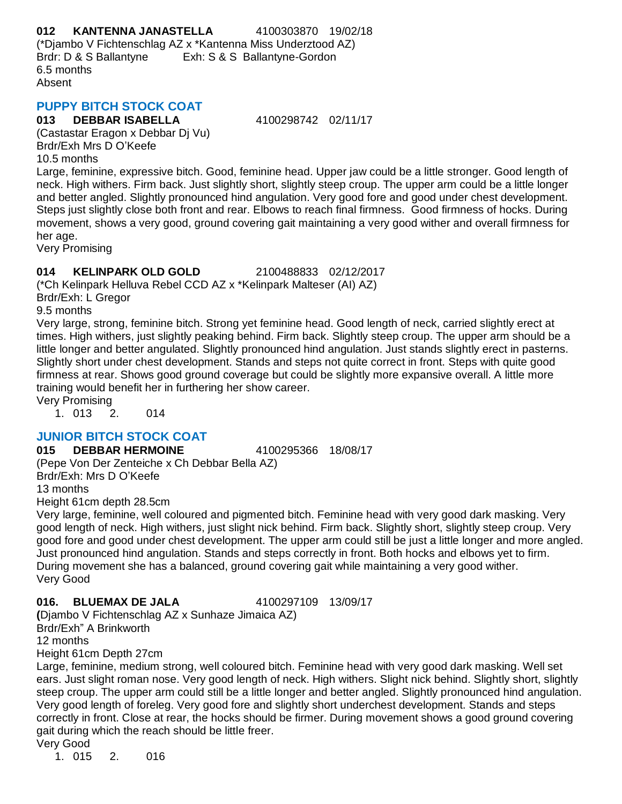**012 KANTENNA JANASTELLA** 4100303870 19/02/18 (\*Djambo V Fichtenschlag AZ x \*Kantenna Miss Underztood AZ) Brdr: D & S Ballantyne Exh: S & S Ballantyne-Gordon 6.5 months Absent

# **PUPPY BITCH STOCK COAT**

### **013 DEBBAR ISABELLA** 4100298742 02/11/17

(Castastar Eragon x Debbar Dj Vu) Brdr/Exh Mrs D O'Keefe 10.5 months

Large, feminine, expressive bitch. Good, feminine head. Upper jaw could be a little stronger. Good length of neck. High withers. Firm back. Just slightly short, slightly steep croup. The upper arm could be a little longer and better angled. Slightly pronounced hind angulation. Very good fore and good under chest development. Steps just slightly close both front and rear. Elbows to reach final firmness. Good firmness of hocks. During movement, shows a very good, ground covering gait maintaining a very good wither and overall firmness for her age.

Very Promising

# **014 KELINPARK OLD GOLD** 2100488833 02/12/2017

(\*Ch Kelinpark Helluva Rebel CCD AZ x \*Kelinpark Malteser (AI) AZ)

Brdr/Exh: L Gregor

9.5 months

Very large, strong, feminine bitch. Strong yet feminine head. Good length of neck, carried slightly erect at times. High withers, just slightly peaking behind. Firm back. Slightly steep croup. The upper arm should be a little longer and better angulated. Slightly pronounced hind angulation. Just stands slightly erect in pasterns. Slightly short under chest development. Stands and steps not quite correct in front. Steps with quite good firmness at rear. Shows good ground coverage but could be slightly more expansive overall. A little more training would benefit her in furthering her show career.

Very Promising

1. 013 2. 014

# **JUNIOR BITCH STOCK COAT**

**015 DEBBAR HERMOINE** 4100295366 18/08/17 (Pepe Von Der Zenteiche x Ch Debbar Bella AZ)

Brdr/Exh: Mrs D O'Keefe

13 months

Height 61cm depth 28.5cm

Very large, feminine, well coloured and pigmented bitch. Feminine head with very good dark masking. Very good length of neck. High withers, just slight nick behind. Firm back. Slightly short, slightly steep croup. Very good fore and good under chest development. The upper arm could still be just a little longer and more angled. Just pronounced hind angulation. Stands and steps correctly in front. Both hocks and elbows yet to firm. During movement she has a balanced, ground covering gait while maintaining a very good wither. Very Good

### **016. BLUEMAX DE JALA** 4100297109 13/09/17

**(**Djambo V Fichtenschlag AZ x Sunhaze Jimaica AZ) Brdr/Exh" A Brinkworth 12 months

Height 61cm Depth 27cm

Large, feminine, medium strong, well coloured bitch. Feminine head with very good dark masking. Well set ears. Just slight roman nose. Very good length of neck. High withers. Slight nick behind. Slightly short, slightly steep croup. The upper arm could still be a little longer and better angled. Slightly pronounced hind angulation. Very good length of foreleg. Very good fore and slightly short underchest development. Stands and steps correctly in front. Close at rear, the hocks should be firmer. During movement shows a good ground covering gait during which the reach should be little freer.

Very Good

1. 015 2. 016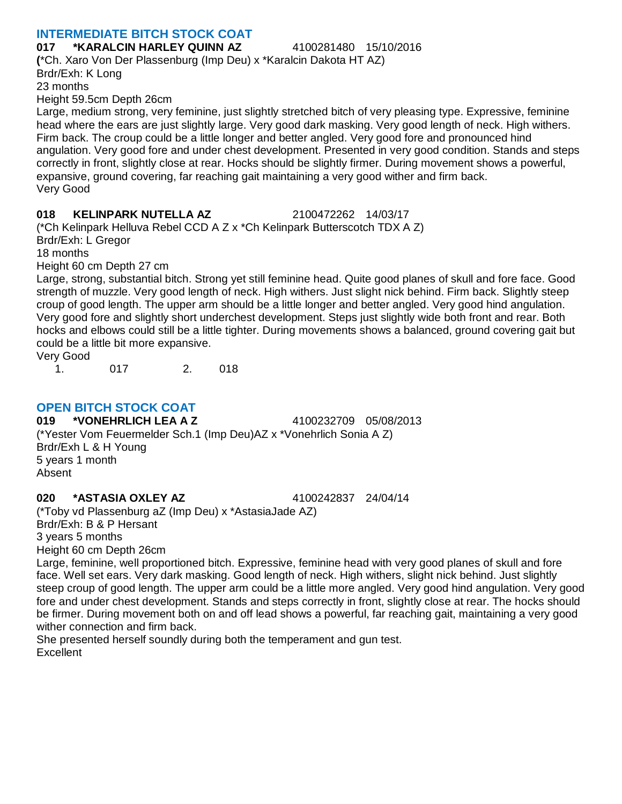# **INTERMEDIATE BITCH STOCK COAT**

**017 \*KARALCIN HARLEY QUINN AZ** 4100281480 15/10/2016 **(**\*Ch. Xaro Von Der Plassenburg (Imp Deu) x \*Karalcin Dakota HT AZ) Brdr/Exh: K Long 23 months Height 59.5cm Depth 26cm

Large, medium strong, very feminine, just slightly stretched bitch of very pleasing type. Expressive, feminine head where the ears are just slightly large. Very good dark masking. Very good length of neck. High withers. Firm back. The croup could be a little longer and better angled. Very good fore and pronounced hind angulation. Very good fore and under chest development. Presented in very good condition. Stands and steps correctly in front, slightly close at rear. Hocks should be slightly firmer. During movement shows a powerful, expansive, ground covering, far reaching gait maintaining a very good wither and firm back. Very Good

#### **018 KELINPARK NUTELLA AZ** 2100472262 14/03/17

(\*Ch Kelinpark Helluva Rebel CCD A Z x \*Ch Kelinpark Butterscotch TDX A Z) Brdr/Exh: L Gregor

18 months

Height 60 cm Depth 27 cm

Large, strong, substantial bitch. Strong yet still feminine head. Quite good planes of skull and fore face. Good strength of muzzle. Very good length of neck. High withers. Just slight nick behind. Firm back. Slightly steep croup of good length. The upper arm should be a little longer and better angled. Very good hind angulation. Very good fore and slightly short underchest development. Steps just slightly wide both front and rear. Both hocks and elbows could still be a little tighter. During movements shows a balanced, ground covering gait but could be a little bit more expansive.

Very Good 1. 017 2. 018

# **OPEN BITCH STOCK COAT**

**019 \*VONEHRLICH LEA A Z** 4100232709 05/08/2013 (\*Yester Vom Feuermelder Sch.1 (Imp Deu)AZ x \*Vonehrlich Sonia A Z) Brdr/Exh L & H Young 5 years 1 month Absent

### **020 \*ASTASIA OXLEY AZ** 4100242837 24/04/14

(\*Toby vd Plassenburg aZ (Imp Deu) x \*AstasiaJade AZ) Brdr/Exh: B & P Hersant 3 years 5 months Height 60 cm Depth 26cm

Large, feminine, well proportioned bitch. Expressive, feminine head with very good planes of skull and fore face. Well set ears. Very dark masking. Good length of neck. High withers, slight nick behind. Just slightly steep croup of good length. The upper arm could be a little more angled. Very good hind angulation. Very good fore and under chest development. Stands and steps correctly in front, slightly close at rear. The hocks should be firmer. During movement both on and off lead shows a powerful, far reaching gait, maintaining a very good wither connection and firm back.

She presented herself soundly during both the temperament and gun test. **Excellent**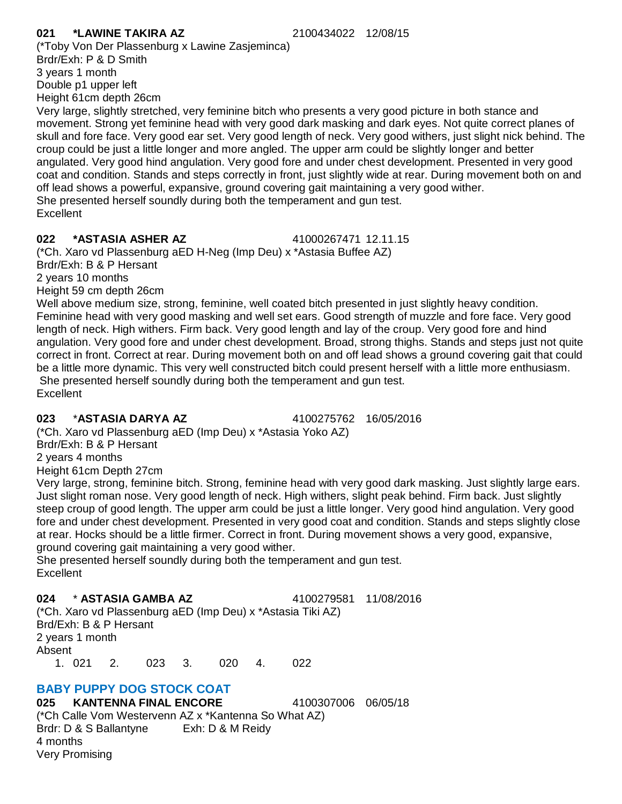### **021 \*LAWINE TAKIRA AZ** 2100434022 12/08/15

(\*Toby Von Der Plassenburg x Lawine Zasjeminca) Brdr/Exh: P & D Smith 3 years 1 month Double p1 upper left Height 61cm depth 26cm

Very large, slightly stretched, very feminine bitch who presents a very good picture in both stance and movement. Strong yet feminine head with very good dark masking and dark eyes. Not quite correct planes of skull and fore face. Very good ear set. Very good length of neck. Very good withers, just slight nick behind. The croup could be just a little longer and more angled. The upper arm could be slightly longer and better angulated. Very good hind angulation. Very good fore and under chest development. Presented in very good coat and condition. Stands and steps correctly in front, just slightly wide at rear. During movement both on and off lead shows a powerful, expansive, ground covering gait maintaining a very good wither. She presented herself soundly during both the temperament and gun test. **Excellent** 

# **022 \*ASTASIA ASHER AZ** 41000267471 12.11.15

(\*Ch. Xaro vd Plassenburg aED H-Neg (Imp Deu) x \*Astasia Buffee AZ) Brdr/Exh: B & P Hersant

2 years 10 months

Height 59 cm depth 26cm

Well above medium size, strong, feminine, well coated bitch presented in just slightly heavy condition. Feminine head with very good masking and well set ears. Good strength of muzzle and fore face. Very good length of neck. High withers. Firm back. Very good length and lay of the croup. Very good fore and hind angulation. Very good fore and under chest development. Broad, strong thighs. Stands and steps just not quite correct in front. Correct at rear. During movement both on and off lead shows a ground covering gait that could be a little more dynamic. This very well constructed bitch could present herself with a little more enthusiasm. She presented herself soundly during both the temperament and gun test. **Excellent** 

# **023** \***ASTASIA DARYA AZ** 4100275762 16/05/2016

(\*Ch. Xaro vd Plassenburg aED (Imp Deu) x \*Astasia Yoko AZ)

Brdr/Exh: B & P Hersant

2 years 4 months

Height 61cm Depth 27cm

Very large, strong, feminine bitch. Strong, feminine head with very good dark masking. Just slightly large ears. Just slight roman nose. Very good length of neck. High withers, slight peak behind. Firm back. Just slightly steep croup of good length. The upper arm could be just a little longer. Very good hind angulation. Very good fore and under chest development. Presented in very good coat and condition. Stands and steps slightly close at rear. Hocks should be a little firmer. Correct in front. During movement shows a very good, expansive, ground covering gait maintaining a very good wither.

She presented herself soundly during both the temperament and gun test. **Excellent** 

# **024** \* **ASTASIA GAMBA AZ** 4100279581 11/08/2016

(\*Ch. Xaro vd Plassenburg aED (Imp Deu) x \*Astasia Tiki AZ) Brd/Exh: B & P Hersant 2 years 1 month Absent 1. 021 2. 023 3. 020 4. 022

# **BABY PUPPY DOG STOCK COAT**

**025 KANTENNA FINAL ENCORE** 4100307006 06/05/18 (\*Ch Calle Vom Westervenn AZ x \*Kantenna So What AZ) Brdr: D & S Ballantyne Exh: D & M Reidy 4 months Very Promising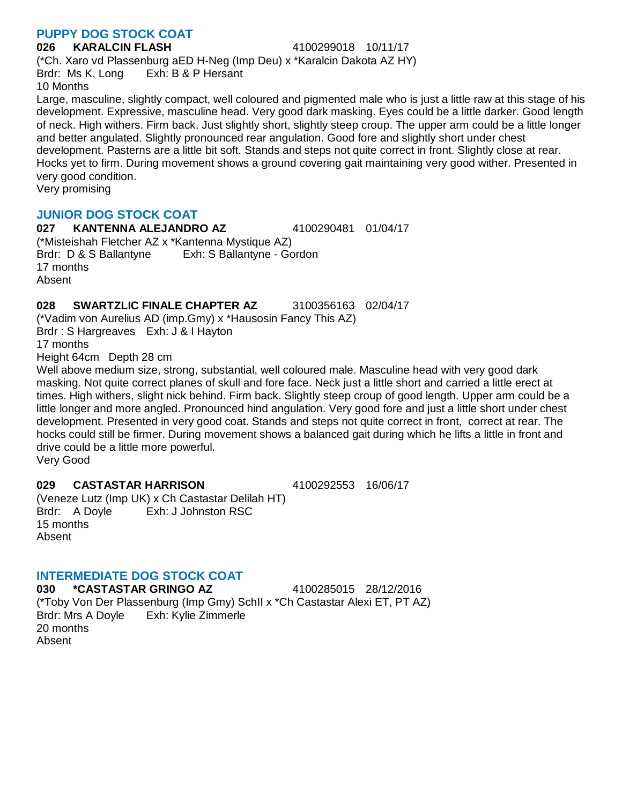### **PUPPY DOG STOCK COAT**

#### **026 KARALCIN FLASH** 4100299018 10/11/17

(\*Ch. Xaro vd Plassenburg aED H-Neg (Imp Deu) x \*Karalcin Dakota AZ HY) Brdr: Ms K. Long Exh: B & P Hersant 10 Months

Large, masculine, slightly compact, well coloured and pigmented male who is just a little raw at this stage of his development. Expressive, masculine head. Very good dark masking. Eyes could be a little darker. Good length of neck. High withers. Firm back. Just slightly short, slightly steep croup. The upper arm could be a little longer and better angulated. Slightly pronounced rear angulation. Good fore and slightly short under chest development. Pasterns are a little bit soft. Stands and steps not quite correct in front. Slightly close at rear. Hocks yet to firm. During movement shows a ground covering gait maintaining very good wither. Presented in very good condition.

Very promising

# **JUNIOR DOG STOCK COAT**

**027 KANTENNA ALEJANDRO AZ** 4100290481 01/04/17 (\*Misteishah Fletcher AZ x \*Kantenna Mystique AZ) Brdr: D & S Ballantyne Exh: S Ballantyne - Gordon 17 months Absent

# **028 SWARTZLIC FINALE CHAPTER AZ** 3100356163 02/04/17

(\*Vadim von Aurelius AD (imp.Gmy) x \*Hausosin Fancy This AZ) Brdr : S Hargreaves Exh: J & I Hayton 17 months

Height 64cm Depth 28 cm

Well above medium size, strong, substantial, well coloured male. Masculine head with very good dark masking. Not quite correct planes of skull and fore face. Neck just a little short and carried a little erect at times. High withers, slight nick behind. Firm back. Slightly steep croup of good length. Upper arm could be a little longer and more angled. Pronounced hind angulation. Very good fore and just a little short under chest development. Presented in very good coat. Stands and steps not quite correct in front, correct at rear. The hocks could still be firmer. During movement shows a balanced gait during which he lifts a little in front and drive could be a little more powerful.

Very Good

# **029 CASTASTAR HARRISON** 4100292553 16/06/17

(Veneze Lutz (Imp UK) x Ch Castastar Delilah HT) Brdr: A Doyle Exh: J Johnston RSC 15 months Absent

# **INTERMEDIATE DOG STOCK COAT**

**030 \*CASTASTAR GRINGO AZ** 4100285015 28/12/2016 (\*Toby Von Der Plassenburg (Imp Gmy) SchII x \*Ch Castastar Alexi ET, PT AZ) Brdr: Mrs A Doyle Exh: Kylie Zimmerle 20 months Absent